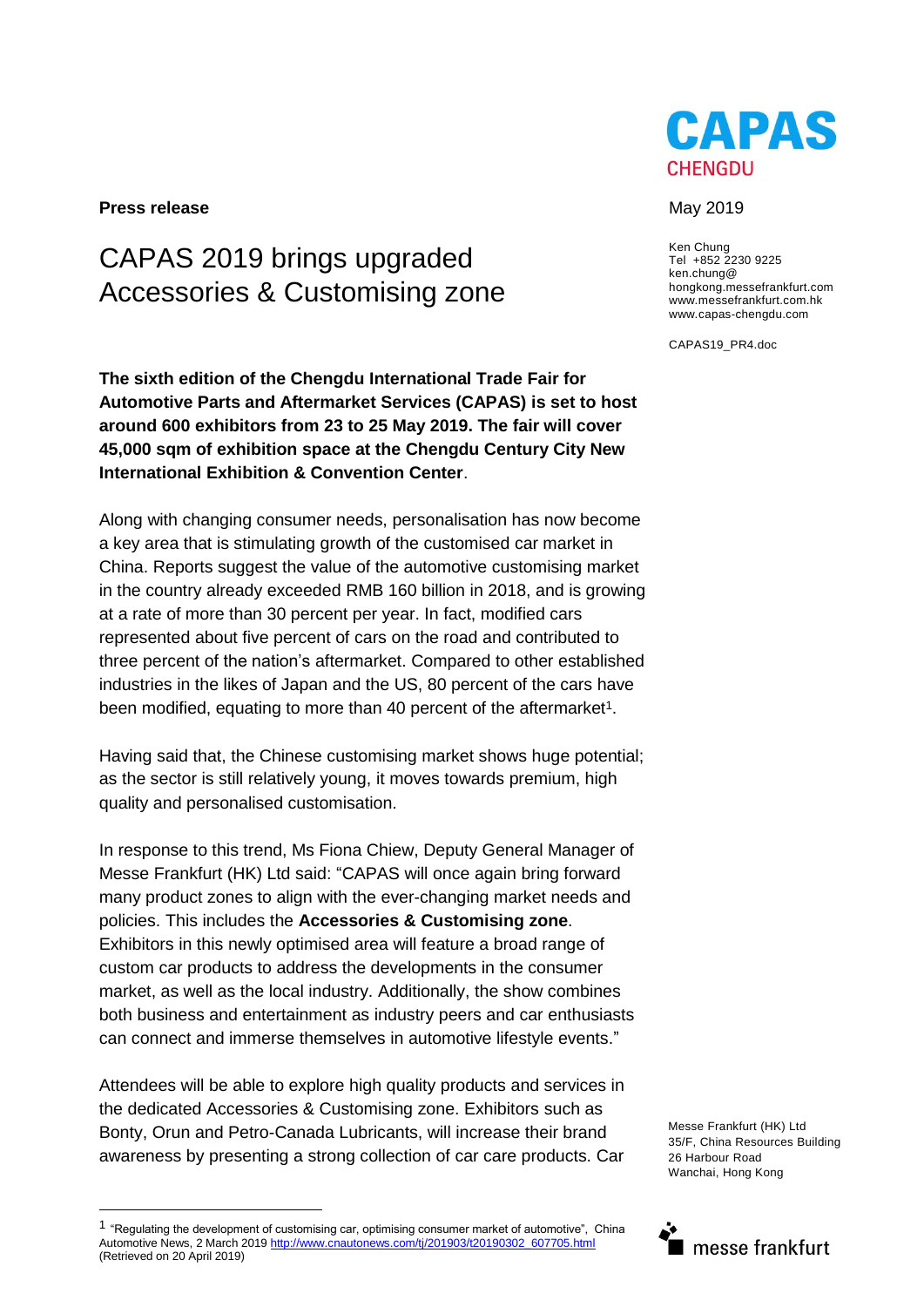

**Press release** May 2019

# CAPAS 2019 brings upgraded Accessories & Customising zone

**The sixth edition of the Chengdu International Trade Fair for Automotive Parts and Aftermarket Services (CAPAS) is set to host around 600 exhibitors from 23 to 25 May 2019. The fair will cover 45,000 sqm of exhibition space at the Chengdu Century City New International Exhibition & Convention Center**.

Along with changing consumer needs, personalisation has now become a key area that is stimulating growth of the customised car market in China. Reports suggest the value of the automotive customising market in the country already exceeded RMB 160 billion in 2018, and is growing at a rate of more than 30 percent per year. In fact, modified cars represented about five percent of cars on the road and contributed to three percent of the nation's aftermarket. Compared to other established industries in the likes of Japan and the US, 80 percent of the cars have been modified, equating to more than 40 percent of the aftermarket<sup>1</sup>.

Having said that, the Chinese customising market shows huge potential; as the sector is still relatively young, it moves towards premium, high quality and personalised customisation.

In response to this trend, Ms Fiona Chiew, Deputy General Manager of Messe Frankfurt (HK) Ltd said: "CAPAS will once again bring forward many product zones to align with the ever-changing market needs and policies. This includes the **Accessories & Customising zone**. Exhibitors in this newly optimised area will feature a broad range of custom car products to address the developments in the consumer market, as well as the local industry. Additionally, the show combines both business and entertainment as industry peers and car enthusiasts can connect and immerse themselves in automotive lifestyle events."

Attendees will be able to explore high quality products and services in the dedicated Accessories & Customising zone. Exhibitors such as Bonty, Orun and Petro-Canada Lubricants, will increase their brand awareness by presenting a strong collection of car care products. Car

Ken Chung Tel +852 2230 9225 ken.chung@ hongkong.messefrankfurt.com www.messefrankfurt.com.hk www.capas-chengdu.com

CAPAS19\_PR4.doc

Messe Frankfurt (HK) Ltd 35/F, China Resources Building 26 Harbour Road Wanchai, Hong Kong



<sup>1</sup> "Regulating the development of customising car, optimising consumer market of automotive", China Automotive News, 2 March 201[9 http://www.cnautonews.com/tj/201903/t20190302\\_607705.html](http://www.cnautonews.com/tj/201903/t20190302_607705.html) (Retrieved on 20 April 2019)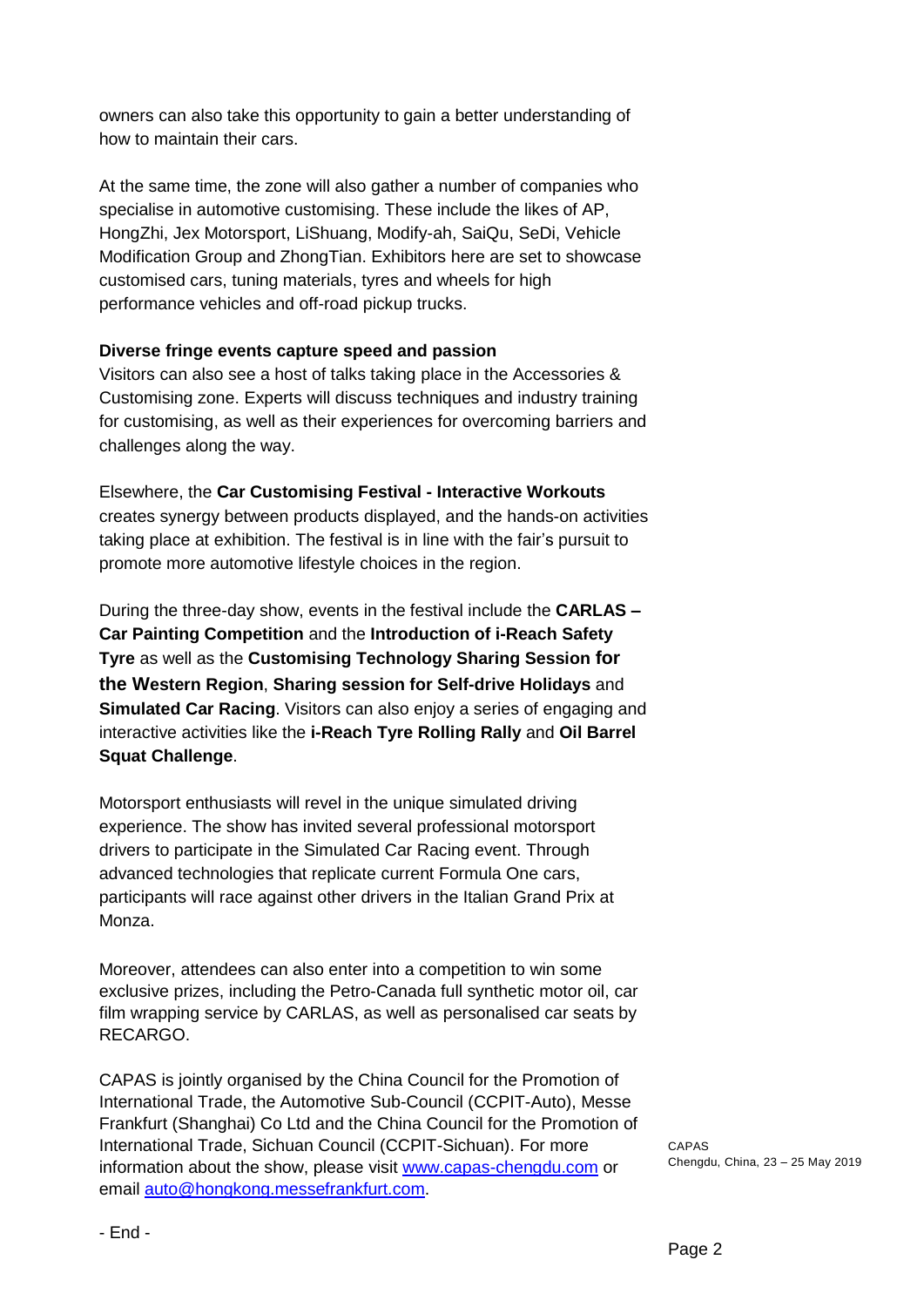owners can also take this opportunity to gain a better understanding of how to maintain their cars.

At the same time, the zone will also gather a number of companies who specialise in automotive customising. These include the likes of AP, HongZhi, Jex Motorsport, LiShuang, Modify-ah, SaiQu, SeDi, Vehicle Modification Group and ZhongTian. Exhibitors here are set to showcase customised cars, tuning materials, tyres and wheels for high performance vehicles and off-road pickup trucks.

### **Diverse fringe events capture speed and passion**

Visitors can also see a host of talks taking place in the Accessories & Customising zone. Experts will discuss techniques and industry training for customising, as well as their experiences for overcoming barriers and challenges along the way.

Elsewhere, the **Car Customising Festival - Interactive Workouts** creates synergy between products displayed, and the hands-on activities taking place at exhibition. The festival is in line with the fair's pursuit to promote more automotive lifestyle choices in the region.

During the three-day show, events in the festival include the **CARLAS – Car Painting Competition** and the **Introduction of i-Reach Safety Tyre** as well as the **Customising Technology Sharing Session for the Western Region**, **Sharing session for Self-drive Holidays** and **Simulated Car Racing**. Visitors can also enjoy a series of engaging and interactive activities like the **i-Reach Tyre Rolling Rally** and **Oil Barrel Squat Challenge**.

Motorsport enthusiasts will revel in the unique simulated driving experience. The show has invited several professional motorsport drivers to participate in the Simulated Car Racing event. Through advanced technologies that replicate current Formula One cars, participants will race against other drivers in the Italian Grand Prix at Monza.

Moreover, attendees can also enter into a competition to win some exclusive prizes, including the Petro-Canada full synthetic motor oil, car film wrapping service by CARLAS, as well as personalised car seats by RECARGO.

CAPAS is jointly organised by the China Council for the Promotion of International Trade, the Automotive Sub-Council (CCPIT-Auto), Messe Frankfurt (Shanghai) Co Ltd and the China Council for the Promotion of International Trade, Sichuan Council (CCPIT-Sichuan). For more information about the show, please visit [www.capas-chengdu.com](http://www.capas-chengdu.com/) or email [auto@hongkong.messefrankfurt.com.](mailto:auto@hongkong.messefrankfurt.com)

CAPAS Chengdu, China, 23 – 25 May 2019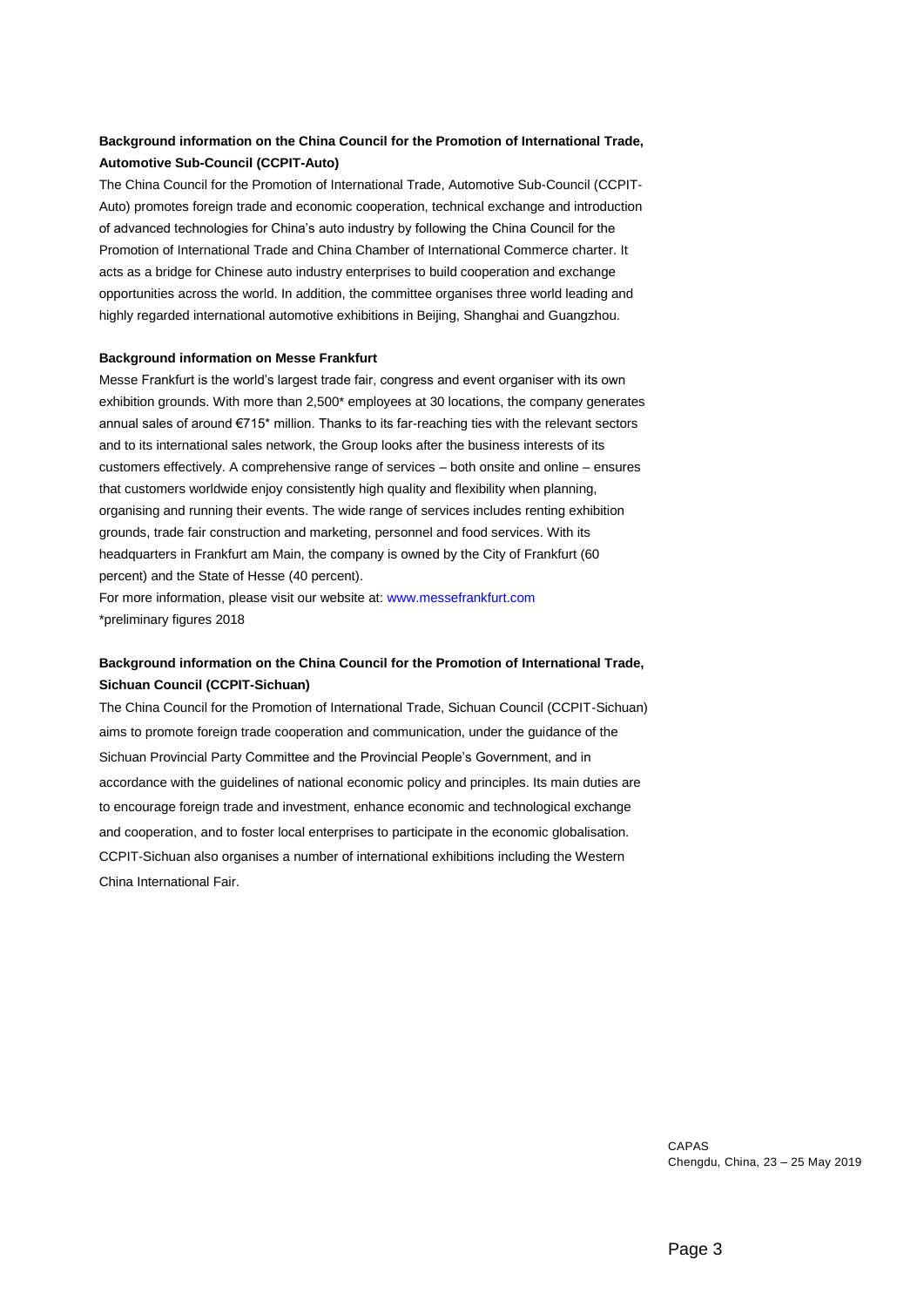#### **Background information on the China Council for the Promotion of International Trade, Automotive Sub-Council (CCPIT-Auto)**

The China Council for the Promotion of International Trade, Automotive Sub-Council (CCPIT-Auto) promotes foreign trade and economic cooperation, technical exchange and introduction of advanced technologies for China's auto industry by following the China Council for the Promotion of International Trade and China Chamber of International Commerce charter. It acts as a bridge for Chinese auto industry enterprises to build cooperation and exchange opportunities across the world. In addition, the committee organises three world leading and highly regarded international automotive exhibitions in Beijing, Shanghai and Guangzhou.

#### **Background information on Messe Frankfurt**

Messe Frankfurt is the world's largest trade fair, congress and event organiser with its own exhibition grounds. With more than 2,500\* employees at 30 locations, the company generates annual sales of around €715\* million. Thanks to its far-reaching ties with the relevant sectors and to its international sales network, the Group looks after the business interests of its customers effectively. A comprehensive range of services – both onsite and online – ensures that customers worldwide enjoy consistently high quality and flexibility when planning, organising and running their events. The wide range of services includes renting exhibition grounds, trade fair construction and marketing, personnel and food services. With its headquarters in Frankfurt am Main, the company is owned by the City of Frankfurt (60 percent) and the State of Hesse (40 percent).

For more information, please visit our website at: www.messefrankfurt.com \*preliminary figures 2018

#### **Background information on the China Council for the Promotion of International Trade, Sichuan Council (CCPIT-Sichuan)**

The China Council for the Promotion of International Trade, Sichuan Council (CCPIT-Sichuan) aims to promote foreign trade cooperation and communication, under the guidance of the Sichuan Provincial Party Committee and the Provincial People's Government, and in accordance with the guidelines of national economic policy and principles. Its main duties are to encourage foreign trade and investment, enhance economic and technological exchange and cooperation, and to foster local enterprises to participate in the economic globalisation. CCPIT-Sichuan also organises a number of international exhibitions including the Western China International Fair.

> CAPAS Chengdu, China, 23 – 25 May 2019